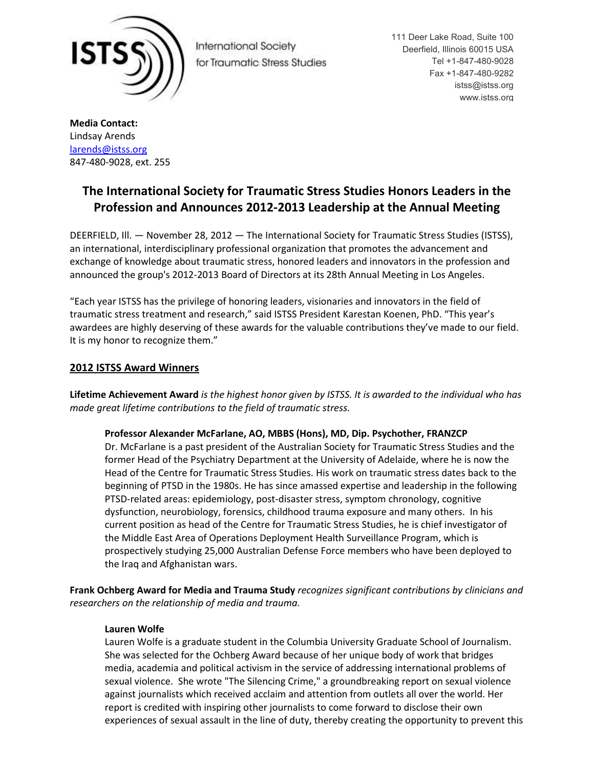

**International Society** for Traumatic Stress Studies 111 Deer Lake Road, Suite 100 Deerfield, Illinois 60015 USA Tel +1-847-480-9028 Fax +1-847-480-9282 istss@istss.org www.istss.org

**Media Contact:** Lindsay Arends [larends@istss.org](mailto:larends@istss.org) 847-480-9028, ext. 255

# **The International Society for Traumatic Stress Studies Honors Leaders in the Profession and Announces 2012-2013 Leadership at the Annual Meeting**

DEERFIELD, Ill. — November 28, 2012 — The International Society for Traumatic Stress Studies (ISTSS), an international, interdisciplinary professional organization that promotes the advancement and exchange of knowledge about traumatic stress, honored leaders and innovators in the profession and announced the group's 2012-2013 Board of Directors at its 28th Annual Meeting in Los Angeles.

"Each year ISTSS has the privilege of honoring leaders, visionaries and innovators in the field of traumatic stress treatment and research," said ISTSS President Karestan Koenen, PhD. "This year's awardees are highly deserving of these awards for the valuable contributions they've made to our field. It is my honor to recognize them."

# **2012 ISTSS Award Winners**

**Lifetime Achievement Award** *is the highest honor given by ISTSS. It is awarded to the individual who has made great lifetime contributions to the field of traumatic stress.*

## **Professor Alexander McFarlane, AO, MBBS (Hons), MD, Dip. Psychother, FRANZCP**

Dr. McFarlane is a past president of the Australian Society for Traumatic Stress Studies and the former Head of the Psychiatry Department at the University of Adelaide, where he is now the Head of the Centre for Traumatic Stress Studies. His work on traumatic stress dates back to the beginning of PTSD in the 1980s. He has since amassed expertise and leadership in the following PTSD-related areas: epidemiology, post-disaster stress, symptom chronology, cognitive dysfunction, neurobiology, forensics, childhood trauma exposure and many others. In his current position as head of the Centre for Traumatic Stress Studies, he is chief investigator of the Middle East Area of Operations Deployment Health Surveillance Program, which is prospectively studying 25,000 Australian Defense Force members who have been deployed to the Iraq and Afghanistan wars.

**Frank Ochberg Award for Media and Trauma Study** *recognizes significant contributions by clinicians and researchers on the relationship of media and trauma.*

## **Lauren Wolfe**

Lauren Wolfe is a graduate student in the Columbia University Graduate School of Journalism. She was selected for the Ochberg Award because of her unique body of work that bridges media, academia and political activism in the service of addressing international problems of sexual violence. She wrote "The Silencing Crime," a groundbreaking report on sexual violence against journalists which received acclaim and attention from outlets all over the world. Her report is credited with inspiring other journalists to come forward to disclose their own experiences of sexual assault in the line of duty, thereby creating the opportunity to prevent this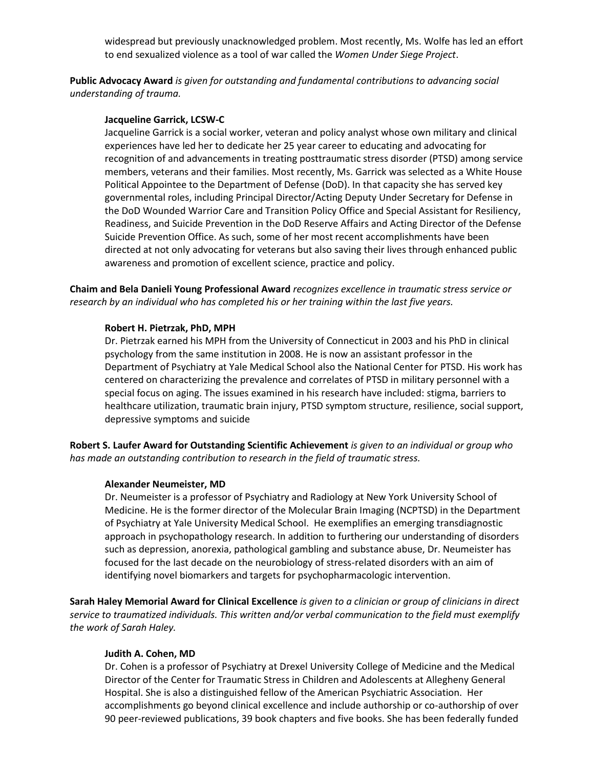widespread but previously unacknowledged problem. Most recently, Ms. Wolfe has led an effort to end sexualized violence as a tool of war called the *Women Under Siege Project*.

**Public Advocacy Award** *is given for outstanding and fundamental contributions to advancing social understanding of trauma.*

#### **Jacqueline Garrick, LCSW-C**

Jacqueline Garrick is a social worker, veteran and policy analyst whose own military and clinical experiences have led her to dedicate her 25 year career to educating and advocating for recognition of and advancements in treating posttraumatic stress disorder (PTSD) among service members, veterans and their families. Most recently, Ms. Garrick was selected as a White House Political Appointee to the Department of Defense (DoD). In that capacity she has served key governmental roles, including Principal Director/Acting Deputy Under Secretary for Defense in the DoD Wounded Warrior Care and Transition Policy Office and Special Assistant for Resiliency, Readiness, and Suicide Prevention in the DoD Reserve Affairs and Acting Director of the Defense Suicide Prevention Office. As such, some of her most recent accomplishments have been directed at not only advocating for veterans but also saving their lives through enhanced public awareness and promotion of excellent science, practice and policy.

**Chaim and Bela Danieli Young Professional Award** *recognizes excellence in traumatic stress service or research by an individual who has completed his or her training within the last five years.*

### **Robert H. Pietrzak, PhD, MPH**

Dr. Pietrzak earned his MPH from the University of Connecticut in 2003 and his PhD in clinical psychology from the same institution in 2008. He is now an assistant professor in the Department of Psychiatry at Yale Medical School also the National Center for PTSD. His work has centered on characterizing the prevalence and correlates of PTSD in military personnel with a special focus on aging. The issues examined in his research have included: stigma, barriers to healthcare utilization, traumatic brain injury, PTSD symptom structure, resilience, social support, depressive symptoms and suicide

**Robert S. Laufer Award for Outstanding Scientific Achievement** *is given to an individual or group who has made an outstanding contribution to research in the field of traumatic stress.*

#### **Alexander Neumeister, MD**

Dr. Neumeister is a professor of Psychiatry and Radiology at New York University School of Medicine. He is the former director of the Molecular Brain Imaging (NCPTSD) in the Department of Psychiatry at Yale University Medical School. He exemplifies an emerging transdiagnostic approach in psychopathology research. In addition to furthering our understanding of disorders such as depression, anorexia, pathological gambling and substance abuse, Dr. Neumeister has focused for the last decade on the neurobiology of stress-related disorders with an aim of identifying novel biomarkers and targets for psychopharmacologic intervention.

**Sarah Haley Memorial Award for Clinical Excellence** *is given to a clinician or group of clinicians in direct service to traumatized individuals. This written and/or verbal communication to the field must exemplify the work of Sarah Haley.* 

#### **Judith A. Cohen, MD**

Dr. Cohen is a professor of Psychiatry at Drexel University College of Medicine and the Medical Director of the Center for Traumatic Stress in Children and Adolescents at Allegheny General Hospital. She is also a distinguished fellow of the American Psychiatric Association. Her accomplishments go beyond clinical excellence and include authorship or co-authorship of over 90 peer-reviewed publications, 39 book chapters and five books. She has been federally funded